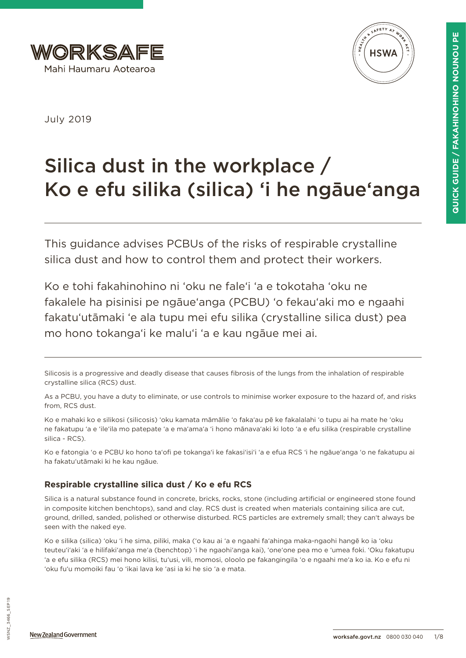



July 2019

# Silica dust in the workplace / Ko e efu silika (silica) 'i he ngāue'anga

This guidance advises PCBUs of the risks of respirable crystalline silica dust and how to control them and protect their workers.

Ko e tohi fakahinohino ni 'oku ne fale'i 'a e tokotaha 'oku ne fakalele ha pisinisi pe ngāue'anga (PCBU) 'o fekau'aki mo e ngaahi fakatu'utāmaki 'e ala tupu mei efu silika (crystalline silica dust) pea mo hono tokanga'i ke malu'i 'a e kau ngāue mei ai.

As a PCBU, you have a duty to eliminate, or use controls to minimise worker exposure to the hazard of, and risks from, RCS dust.

Ko e mahaki ko e silikosi (silicosis) 'oku kamata māmālie 'o faka'au pē ke fakalalahi 'o tupu ai ha mate he 'oku ne fakatupu 'a e 'ile'ila mo patepate 'a e ma'ama'a 'i hono mānava'aki ki loto 'a e efu silika (respirable crystalline silica - RCS).

Ko e fatongia 'o e PCBU ko hono ta'ofi pe tokanga'i ke fakasi'isi'i 'a e efua RCS 'i he ngāue'anga 'o ne fakatupu ai ha fakatu'utāmaki ki he kau ngāue.

# **Respirable crystalline silica dust / Ko e efu RCS**

Silica is a natural substance found in concrete, bricks, rocks, stone (including artificial or engineered stone found in composite kitchen benchtops), sand and clay. RCS dust is created when materials containing silica are cut, ground, drilled, sanded, polished or otherwise disturbed. RCS particles are extremely small; they can't always be seen with the naked eye.

Ko e silika (silica) 'oku 'i he sima, piliki, maka ('o kau ai 'a e ngaahi fa'ahinga maka-ngaohi hangē ko ia 'oku teuteu'i'aki 'a e hilifaki'anga me'a (benchtop) 'i he ngaohi'anga kai), 'one'one pea mo e 'umea foki. 'Oku fakatupu 'a e efu silika (RCS) mei hono kilisi, tu'usi, vili, momosi, oloolo pe fakangingila 'o e ngaahi me'a ko ia. Ko e efu ni 'oku fu'u momoiki fau 'o 'ikai lava ke 'asi ia ki he sio 'a e mata.

Silicosis is a progressive and deadly disease that causes fibrosis of the lungs from the inhalation of respirable crystalline silica (RCS) dust.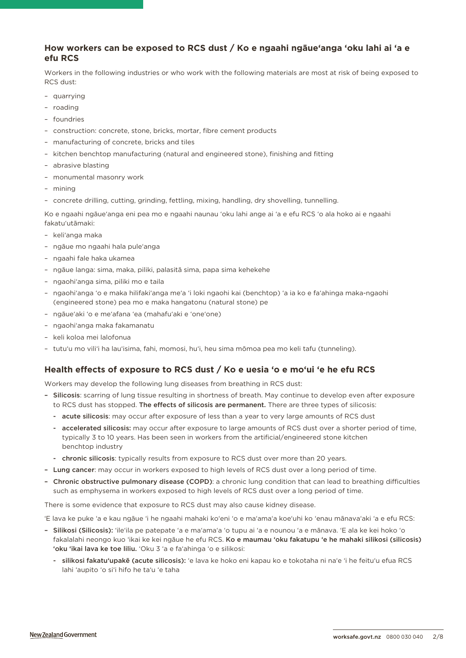# **How workers can be exposed to RCS dust / Ko e ngaahi ngāue'anga 'oku lahi ai 'a e efu RCS**

Workers in the following industries or who work with the following materials are most at risk of being exposed to RCS dust:

- quarrying
- roading
- foundries
- construction: concrete, stone, bricks, mortar, fibre cement products
- manufacturing of concrete, bricks and tiles
- kitchen benchtop manufacturing (natural and engineered stone), finishing and fitting
- abrasive blasting
- monumental masonry work
- mining
- concrete drilling, cutting, grinding, fettling, mixing, handling, dry shovelling, tunnelling.

Ko e ngaahi ngāue'anga eni pea mo e ngaahi naunau 'oku lahi ange ai 'a e efu RCS 'o ala hoko ai e ngaahi fakatu'utāmaki:

- keli'anga maka
- ngāue mo ngaahi hala pule'anga
- ngaahi fale haka ukamea
- ngāue langa: sima, maka, piliki, palasitā sima, papa sima kehekehe
- ngaohi'anga sima, piliki mo e taila
- ngaohi'anga 'o e maka hilifaki'anga me'a 'i loki ngaohi kai (benchtop) 'a ia ko e fa'ahinga maka-ngaohi (engineered stone) pea mo e maka hangatonu (natural stone) pe
- ngāue'aki 'o e me'afana 'ea (mahafu'aki e 'one'one)
- ngaohi'anga maka fakamanatu
- keli koloa mei lalofonua
- tutu'u mo vili'i ha lau'isima, fahi, momosi, hu'i, heu sima mōmoa pea mo keli tafu (tunneling).

## **Health effects of exposure to RCS dust / Ko e uesia 'o e mo'ui 'e he efu RCS**

Workers may develop the following lung diseases from breathing in RCS dust:

- Silicosis: scarring of lung tissue resulting in shortness of breath. May continue to develop even after exposure to RCS dust has stopped. The effects of silicosis are permanent. There are three types of silicosis:
	- acute silicosis: may occur after exposure of less than a year to very large amounts of RCS dust
	- accelerated silicosis: may occur after exposure to large amounts of RCS dust over a shorter period of time, typically 3 to 10 years. Has been seen in workers from the artificial/engineered stone kitchen benchtop industry
	- chronic silicosis: typically results from exposure to RCS dust over more than 20 years.
- Lung cancer: may occur in workers exposed to high levels of RCS dust over a long period of time.
- Chronic obstructive pulmonary disease (COPD): a chronic lung condition that can lead to breathing difficulties such as emphysema in workers exposed to high levels of RCS dust over a long period of time.

There is some evidence that exposure to RCS dust may also cause kidney disease.

'E lava ke puke 'a e kau ngāue 'i he ngaahi mahaki ko'eni 'o e ma'ama'a koe'uhi ko 'enau mānava'aki 'a e efu RCS:

- Silikosi (Silicosis): 'ile'ila pe patepate 'a e ma'ama'a 'o tupu ai 'a e nounou 'a e mānava. 'E ala ke kei hoko 'o fakalalahi neongo kuo 'ikai ke kei ngāue he efu RCS. Ko e maumau 'oku fakatupu 'e he mahaki silikosi (silicosis) 'oku 'ikai lava ke toe liliu. 'Oku 3 'a e fa'ahinga 'o e silikosi:
	- silikosi fakatu'upakē (acute silicosis): 'e lava ke hoko eni kapau ko e tokotaha ni na'e 'i he feitu'u efua RCS lahi 'aupito 'o si'i hifo he ta'u 'e taha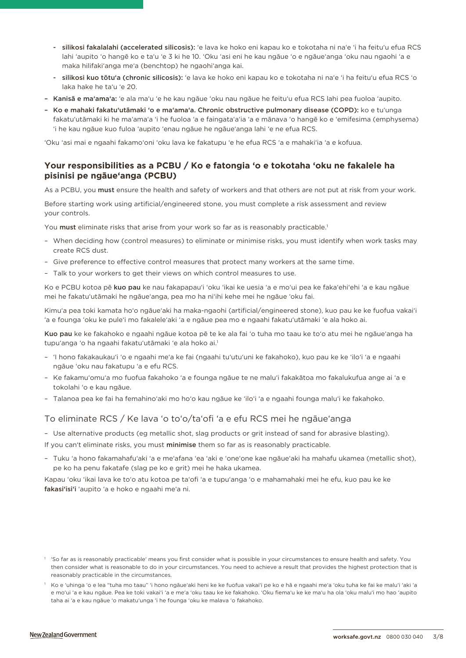- silikosi fakalalahi (accelerated silicosis): 'e lava ke hoko eni kapau ko e tokotaha ni na'e 'i ha feitu'u efua RCS lahi 'aupito 'o hangē ko e ta'u 'e 3 ki he 10. 'Oku 'asi eni he kau ngāue 'o e ngāue'anga 'oku nau ngaohi 'a e maka hilifaki'anga me'a (benchtop) he ngaohi'anga kai.
- silikosi kuo tōtu'a (chronic silicosis): 'e lava ke hoko eni kapau ko e tokotaha ni na'e 'i ha feitu'u efua RCS 'o laka hake he ta'u 'e 20.
- Kanisā e ma'ama'a: 'e ala ma'u 'e he kau ngāue 'oku nau ngāue he feitu'u efua RCS lahi pea fuoloa 'aupito.
- Ko e mahaki fakatu'utāmaki 'o e ma'ama'a. Chronic obstructive pulmonary disease (COPD): ko e tu'unga fakatu'utāmaki ki he ma'ama'a 'i he fuoloa 'a e faingata'a'ia 'a e mānava 'o hangē ko e 'emifesima (emphysema) 'i he kau ngāue kuo fuloa 'aupito 'enau ngāue he ngāue'anga lahi 'e ne efua RCS.

'Oku 'asi mai e ngaahi fakamo'oni 'oku lava ke fakatupu 'e he efua RCS 'a e mahaki'ia 'a e kofuua.

# **Your responsibilities as a PCBU / Ko e fatongia 'o e tokotaha 'oku ne fakalele ha pisinisi pe ngāue'anga (PCBU)**

As a PCBU, you must ensure the health and safety of workers and that others are not put at risk from your work.

Before starting work using artificial/engineered stone, you must complete a risk assessment and review your controls.

You must eliminate risks that arise from your work so far as is reasonably practicable.<sup>1</sup>

- When deciding how (control measures) to eliminate or minimise risks, you must identify when work tasks may create RCS dust.
- Give preference to effective control measures that protect many workers at the same time.
- Talk to your workers to get their views on which control measures to use.

Ko e PCBU kotoa pē kuo pau ke nau fakapapau'i 'oku 'ikai ke uesia 'a e mo'ui pea ke faka'ehi'ehi 'a e kau ngāue mei he fakatu'utāmaki he ngāue'anga, pea mo ha ni'ihi kehe mei he ngāue 'oku fai.

Kimu'a pea toki kamata ho'o ngāue'aki ha maka-ngaohi (artificial/engineered stone), kuo pau ke ke fuofua vakai'i 'a e founga 'oku ke pule'i mo fakalele'aki 'a e ngāue pea mo e ngaahi fakatu'utāmaki 'e ala hoko ai.

Kuo pau ke ke fakahoko e ngaahi ngāue kotoa pē te ke ala fai 'o tuha mo taau ke to'o atu mei he ngāue'anga ha tupu'anga 'o ha ngaahi fakatu'utāmaki 'e ala hoko ai.1

- 'I hono fakakaukau'i 'o e ngaahi me'a ke fai (ngaahi tu'utu'uni ke fakahoko), kuo pau ke ke 'ilo'i 'a e ngaahi ngāue 'oku nau fakatupu 'a e efu RCS.
- Ke fakamu'omu'a mo fuofua fakahoko 'a e founga ngāue te ne malu'i fakakātoa mo fakalukufua ange ai 'a e tokolahi 'o e kau ngāue.
- Talanoa pea ke fai ha femahino'aki mo ho'o kau ngāue ke 'ilo'i 'a e ngaahi founga malu'i ke fakahoko.

# To eliminate RCS / Ke lava 'o to'o/ta'ofi 'a e efu RCS mei he ngāue'anga

– Use alternative products (eg metallic shot, slag products or grit instead of sand for abrasive blasting).

If you can't eliminate risks, you must minimise them so far as is reasonably practicable.

– Tuku 'a hono fakamahafu'aki 'a e me'afana 'ea 'aki e 'one'one kae ngāue'aki ha mahafu ukamea (metallic shot), pe ko ha penu fakatafe (slag pe ko e grit) mei he haka ukamea.

Kapau 'oku 'ikai lava ke to'o atu kotoa pe ta'ofi 'a e tupu'anga 'o e mahamahaki mei he efu, kuo pau ke ke fakasi'isi'i 'aupito 'a e hoko e ngaahi me'a ni.

<sup>1</sup> 'So far as is reasonably practicable' means you first consider what is possible in your circumstances to ensure health and safety. You then consider what is reasonable to do in your circumstances. You need to achieve a result that provides the highest protection that is reasonably practicable in the circumstances.

<sup>1</sup> Ko e 'uhinga 'o e lea "tuha mo taau" 'i hono ngāue'aki heni ke ke fuofua vakai'i pe ko e hā e ngaahi me'a 'oku tuha ke fai ke malu'i 'aki 'a e mo'ui 'a e kau ngāue. Pea ke toki vakai'i 'a e me'a 'oku taau ke ke fakahoko. 'Oku fiema'u ke ke ma'u ha ola 'oku malu'i mo hao 'aupito taha ai 'a e kau ngāue 'o makatu'unga 'i he founga 'oku ke malaya 'o fakahoko.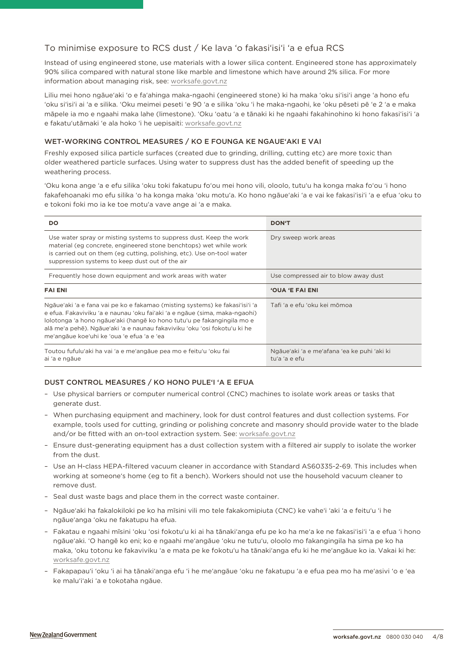# To minimise exposure to RCS dust / Ke lava 'o fakasi'isi'i 'a e efua RCS

Instead of using engineered stone, use materials with a lower silica content. Engineered stone has approximately 90% silica compared with natural stone like marble and limestone which have around 2% silica. For more information about managing risk, see: [worksafe.govt.nz](https://worksafe.govt.nz/managing-health-and-safety/managing-risks/how-to-manage-work-risks/)

Liliu mei hono ngāue'aki 'o e fa'ahinga maka-ngaohi (engineered stone) ki ha maka 'oku si'isi'i ange 'a hono efu 'oku si'isi'i ai 'a e silika. 'Oku meimei peseti 'e 90 'a e silika 'oku 'i he maka-ngaohi, ke 'oku pēseti pē 'e 2 'a e maka māpele ia mo e ngaahi maka lahe (limestone). 'Oku 'oatu 'a e tānaki ki he ngaahi fakahinohino ki hono fakasi'isi'i 'a e fakatu'utāmaki 'e ala hoko 'i he uepisaiti: [worksafe.govt.nz](https://worksafe.govt.nz/managing-health-and-safety/managing-risks/how-to-manage-work-risks/)

#### WET-WORKING CONTROL MEASURES / KO E FOUNGA KE NGAUE'AKI E VAI

Freshly exposed silica particle surfaces (created due to grinding, drilling, cutting etc) are more toxic than older weathered particle surfaces. Using water to suppress dust has the added benefit of speeding up the weathering process.

'Oku kona ange 'a e efu silika 'oku toki fakatupu fo'ou mei hono vili, oloolo, tutu'u ha konga maka fo'ou 'i hono fakafehoanaki mo efu silika 'o ha konga maka 'oku motu'a. Ko hono ngāue'aki 'a e vai ke fakasi'isi'i 'a e efua 'oku to e tokoni foki mo ia ke toe motu'a vave ange ai 'a e maka.

| DO.                                                                                                                                                                                                                                                                                                                                                             | <b>DON'T</b>                                                 |
|-----------------------------------------------------------------------------------------------------------------------------------------------------------------------------------------------------------------------------------------------------------------------------------------------------------------------------------------------------------------|--------------------------------------------------------------|
| Use water spray or misting systems to suppress dust. Keep the work<br>material (eg concrete, engineered stone benchtops) wet while work<br>is carried out on them (eq cutting, polishing, etc). Use on-tool water<br>suppression systems to keep dust out of the air                                                                                            | Dry sweep work areas                                         |
| Frequently hose down equipment and work areas with water                                                                                                                                                                                                                                                                                                        | Use compressed air to blow away dust                         |
| <b>FAI ENI</b>                                                                                                                                                                                                                                                                                                                                                  | <b>OUA E FAI ENI</b>                                         |
| Ngāue'aki 'a e fana vai pe ko e fakamao (misting systems) ke fakasi'isi'i 'a<br>e efua. Fakaviviku 'a e naunau 'oku fai'aki 'a e ngāue (sima, maka-ngaohi)<br>lolotonga 'a hono ngāue'aki (hangē ko hono tutu'u pe fakangingila mo e<br>alā me'a pehē). Ngāue'aki 'a e naunau fakaviviku 'oku 'osi fokotu'u ki he<br>me'angāue koe'uhi ke 'oua 'e efua 'a e 'ea | Tafi 'a e efu 'oku kei mõmoa                                 |
| Toutou fufulu'aki ha vai 'a e me'angāue pea mo e feitu'u 'oku fai<br>ai 'a e ngāue                                                                                                                                                                                                                                                                              | Ngāue'aki 'a e me'afana 'ea ke puhi 'aki ki<br>tu'a 'a e efu |

#### DUST CONTROL MEASURES / KO HONO PULE'I 'A E EFUA

- Use physical barriers or computer numerical control (CNC) machines to isolate work areas or tasks that generate dust.
- When purchasing equipment and machinery, look for dust control features and dust collection systems. For example, tools used for cutting, grinding or polishing concrete and masonry should provide water to the blade and/or be fitted with an on-tool extraction system. See: [worksafe.govt.nz](https://worksafe.govt.nz/topic-and-industry/dust-and-fumes/dust/controlling-construction-dust-with-on-tool-extraction/)
- Ensure dust-generating equipment has a dust collection system with a filtered air supply to isolate the worker from the dust.
- Use an H-class HEPA-filtered vacuum cleaner in accordance with Standard AS60335-2-69. This includes when working at someone's home (eg to fit a bench). Workers should not use the household vacuum cleaner to remove dust.
- Seal dust waste bags and place them in the correct waste container.
- Ngāue'aki ha fakalokiloki pe ko ha mīsini vili mo tele fakakomipiuta (CNC) ke vahe'i 'aki 'a e feitu'u 'i he ngāue'anga 'oku ne fakatupu ha efua.
- Fakatau e ngaahi mīsini 'oku 'osi fokotu'u ki ai ha tānaki'anga efu pe ko ha me'a ke ne fakasi'isi'i 'a e efua 'i hono ngāue'aki. 'O hangē ko eni; ko e ngaahi me'angāue 'oku ne tutu'u, oloolo mo fakangingila ha sima pe ko ha maka, 'oku totonu ke fakaviviku 'a e mata pe ke fokotu'u ha tānaki'anga efu ki he me'angāue ko ia. Vakai ki he: [worksafe.govt.nz](https://worksafe.govt.nz/topic-and-industry/dust-and-fumes/dust/controlling-construction-dust-with-on-tool-extraction/)
- Fakapapau'i 'oku 'i ai ha tānaki'anga efu 'i he me'angāue 'oku ne fakatupu 'a e efua pea mo ha me'asivi 'o e 'ea ke malu'i'aki 'a e tokotaha ngāue.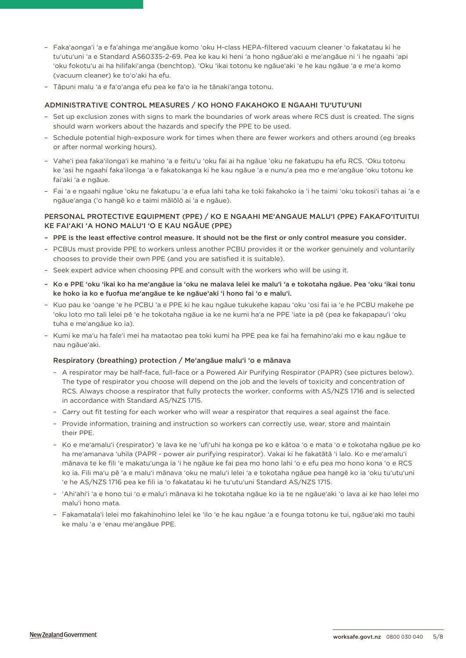- Faka'aonga'i 'a e fa'ahinga me'angāue komo 'oku H-class HEPA-filtered vacuum cleaner 'o fakatatau ki he tu'utu'uni 'a e Standard AS60335-2-69. Pea ke kau ki heni 'a hono ngāue'aki e me'angāue ni 'i he ngaahi 'api 'oku fokotu'u ai ha hilifaki'anga (benchtop). 'Oku 'ikai totonu ke ngāue'aki 'e he kau ngāue 'a e me'a komo (vacuum cleaner) ke to'o'aki ha efu.
- Tāpuni malu 'a e fa'o'anga efu pea ke fa'o ia he tānaki'anga totonu.

#### ADMINISTRATIVE CONTROL MEASURES / KO HONO FAKAHOKO E NGAAHI TU'UTU'UNI

- Set up exclusion zones with signs to mark the boundaries of work areas where RCS dust is created. The signs should warn workers about the hazards and specify the PPE to be used.
- Schedule potential high-exposure work for times when there are fewer workers and others around (eg breaks or after normal working hours).
- Vahe'i pea faka'ilonga'i ke mahino 'a e feitu'u 'oku fai ai ha ngāue 'oku ne fakatupu ha efu RCS. 'Oku totonu ke 'asi he ngaahi faka'ilonga 'a e fakatokanga ki he kau ngāue 'a e nunu'a pea mo e me'angāue 'oku totonu ke fai'aki 'a e ngāue.
- Fai 'a e ngaahi ngāue 'oku ne fakatupu 'a e efua lahi taha ke toki fakahoko ia 'i he taimi 'oku tokosi'i tahas ai 'a e ngāue'anga ('o hangē ko e taimi mālōlō ai 'a e ngāue).

#### PERSONAL PROTECTIVE EQUIPMENT (PPE) / KO E NGAAHI ME'ANGAUE MALU'I (PPE) FAKAFO'ITUITUI KE FAI'AKI 'A HONO MALU'I 'O E KAU NGĀUE (PPE)

- PPE is the least effective control measure. It should not be the first or only control measure you consider.
- PCBUs must provide PPE to workers unless another PCBU provides it or the worker genuinely and voluntarily chooses to provide their own PPE (and you are satisfied it is suitable).
- Seek expert advice when choosing PPE and consult with the workers who will be using it.
- Ko e PPE 'oku 'ikai ko ha me'angāue ia 'oku ne malava lelei ke malu'i 'a e tokotaha ngāue. Pea 'oku 'ikai tonu ke hoko ia ko e fuofua me'angāue te ke ngāue'aki 'i hono fai 'o e malu'i.
- Kuo pau ke 'oange 'e he PCBU 'a e PPE ki he kau ngāue tukukehe kapau 'oku 'osi fai ia 'e he PCBU makehe pe 'oku loto mo tali lelei pē 'e he tokotaha ngāue ia ke ne kumi ha'a ne PPE 'iate ia pē (pea ke fakapapau'i 'oku tuha e me'angāue ko ia).
- Kumi ke ma'u ha fale'i mei ha mataotao pea toki kumi ha PPE pea ke fai ha femahino'aki mo e kau ngāue te nau ngāue'aki.

#### Respiratory (breathing) protection / Me'angāue malu'i 'o e mānava

- A respirator may be half-face, full-face or a Powered Air Purifying Respirator (PAPR) (see pictures below). The type of respirator you choose will depend on the job and the levels of toxicity and concentration of RCS. Always choose a respirator that fully protects the worker, conforms with AS/NZS 1716 and is selected in accordance with Standard AS/NZS 1715.
- Carry out fit testing for each worker who will wear a respirator that requires a seal against the face.
- Provide information, training and instruction so workers can correctly use, wear, store and maintain their PPE.
- Ko e me'amalu'i (respirator) 'e lava ke ne 'ufi'uhi ha konga pe ko e kātoa 'o e mata 'o e tokotaha ngāue pe ko ha me'amanava 'uhila (PAPR - power air purifying respirator). Vakai ki he fakatātā 'i lalo. Ko e me'amalu'i mānava te ke fili 'e makatu'unga ia 'i he ngāue ke fai pea mo hono lahi 'o e efu pea mo hono kona 'o e RCS ko ia. Fili ma'u pē 'a e malu'i mānava 'oku ne malu'i lelei 'a e tokotaha ngāue pea hangē ko ia 'oku tu'utu'uni 'e he AS/NZS 1716 pea ke fili ia 'o fakatatau ki he tu'utu'uni Standard AS/NZS 1715.
- 'Ahi'ahi'i 'a e hono tui 'o e malu'i mānava ki he tokotaha ngāue ko ia te ne ngāue'aki 'o lava ai ke hao lelei mo malu'i hono mata.
- Fakamatala'i lelei mo fakahinohino lelei ke 'ilo 'e he kau ngāue 'a e founga totonu ke tui, ngāue'aki mo tauhi ke malu 'a e 'enau me'angāue PPE.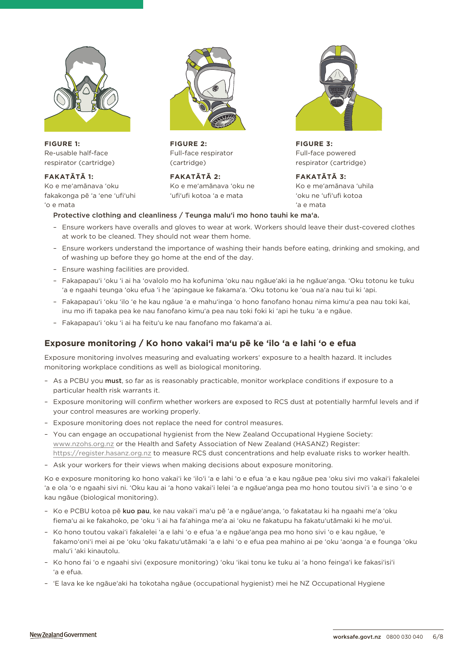

**FIGURE 1:** Re-usable half-face respirator (cartridge)

**FAKATĀTĀ 1:** Ko e me'amānava 'oku fakakonga pē 'a 'ene 'ufi'uhi 'o e mata



**FIGURE 2:** Full-face respirator (cartridge)

**FAKATĀTĀ 2:** Ko e me'amānava 'oku ne 'ufi'ufi kotoa 'a e mata



**FIGURE 3:** Full-face powered respirator (cartridge)

**FAKATĀTĀ 3:** Ko e me'amānava 'uhila 'oku ne 'ufi'ufi kotoa 'a e mata

# Protective clothing and cleanliness / Teunga malu'i mo hono tauhi ke ma'a.

- Ensure workers have overalls and gloves to wear at work. Workers should leave their dust-covered clothes at work to be cleaned. They should not wear them home.
- Ensure workers understand the importance of washing their hands before eating, drinking and smoking, and of washing up before they go home at the end of the day.
- Ensure washing facilities are provided.
- Fakapapau'i 'oku 'i ai ha 'ovalolo mo ha kofunima 'oku nau ngāue'aki ia he ngāue'anga. 'Oku totonu ke tuku 'a e ngaahi teunga 'oku efua 'i he 'apingaue ke fakama'a. 'Oku totonu ke 'oua na'a nau tui ki 'api.
- Fakapapau'i 'oku 'ilo 'e he kau ngāue 'a e mahu'inga 'o hono fanofano honau nima kimu'a pea nau toki kai, inu mo ifi tapaka pea ke nau fanofano kimu'a pea nau toki foki ki 'api he tuku 'a e ngāue.
- Fakapapau'i 'oku 'i ai ha feitu'u ke nau fanofano mo fakama'a ai.

# **Exposure monitoring / Ko hono vakai'i ma'u pē ke 'ilo 'a e lahi 'o e efua**

Exposure monitoring involves measuring and evaluating workers' exposure to a health hazard. It includes monitoring workplace conditions as well as biological monitoring.

- As a PCBU you must, so far as is reasonably practicable, monitor workplace conditions if exposure to a particular health risk warrants it.
- Exposure monitoring will confirm whether workers are exposed to RCS dust at potentially harmful levels and if your control measures are working properly.
- Exposure monitoring does not replace the need for control measures.
- You can engage an occupational hygienist from the New Zealand Occupational Hygiene Society: [www.nzohs.org.nz](http://www.nzohs.org.nz) or the Health and Safety Association of New Zealand (HASANZ) Register: <https://register.hasanz.org.nz> to measure RCS dust concentrations and help evaluate risks to worker health.
- Ask your workers for their views when making decisions about exposure monitoring.

Ko e exposure monitoring ko hono vakai'i ke 'ilo'i 'a e lahi 'o e efua 'a e kau ngāue pea 'oku sivi mo vakai'i fakalelei 'a e ola 'o e ngaahi sivi ni. 'Oku kau ai 'a hono vakai'i lelei 'a e ngāue'anga pea mo hono toutou sivi'i 'a e sino 'o e kau ngāue (biological monitoring).

- Ko e PCBU kotoa pē kuo pau, ke nau vakai'i ma'u pē 'a e ngāue'anga, 'o fakatatau ki ha ngaahi me'a 'oku fiema'u ai ke fakahoko, pe 'oku 'i ai ha fa'ahinga me'a ai 'oku ne fakatupu ha fakatu'utāmaki ki he mo'ui.
- Ko hono toutou vakai'i fakalelei 'a e lahi 'o e efua 'a e ngāue'anga pea mo hono sivi 'o e kau ngāue, 'e fakamo'oni'i mei ai pe 'oku 'oku fakatu'utāmaki 'a e lahi 'o e efua pea mahino ai pe 'oku 'aonga 'a e founga 'oku malu'i 'aki kinautolu.
- Ko hono fai 'o e ngaahi sivi (exposure monitoring) 'oku 'ikai tonu ke tuku ai 'a hono feinga'i ke fakasi'isi'i 'a e efua.
- 'E lava ke ke ngāue'aki ha tokotaha ngāue (occupational hygienist) mei he NZ Occupational Hygiene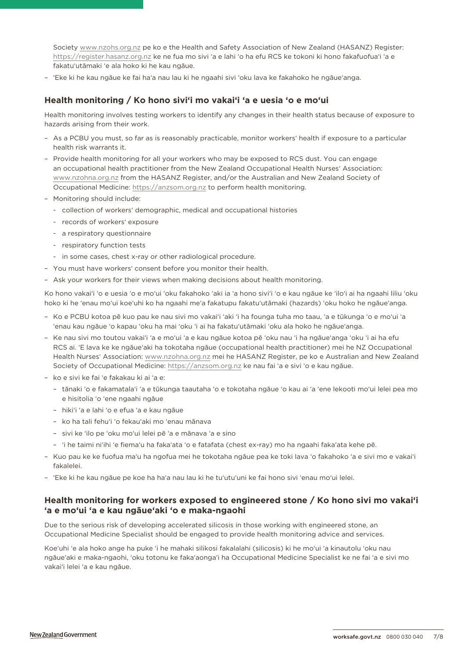Society [www.nzohs.org.nz](http://www.nzohs.org.nz) pe ko e the Health and Safety Association of New Zealand (HASANZ) Register: <https://register.hasanz.org.nz> ke ne fua mo sivi 'a e lahi 'o ha efu RCS ke tokoni ki hono fakafuofua'i 'a e fakatu'utāmaki 'e ala hoko ki he kau ngāue.

– 'Eke ki he kau ngāue ke fai ha'a nau lau ki he ngaahi sivi 'oku lava ke fakahoko he ngāue'anga.

# **Health monitoring / Ko hono sivi'i mo vakai'i 'a e uesia 'o e mo'ui**

Health monitoring involves testing workers to identify any changes in their health status because of exposure to hazards arising from their work.

- As a PCBU you must, so far as is reasonably practicable, monitor workers' health if exposure to a particular health risk warrants it.
- Provide health monitoring for all your workers who may be exposed to RCS dust. You can engage an occupational health practitioner from the New Zealand Occupational Health Nurses' Association: [www.nzohna.org.nz](http://www.nzohna.org.nz) from the HASANZ Register, and/or the Australian and New Zealand Society of Occupational Medicine:<https://anzsom.org.nz> to perform health monitoring.
- Monitoring should include:
	- collection of workers' demographic, medical and occupational histories
	- records of workers' exposure
	- a respiratory questionnaire
	- respiratory function tests
	- in some cases, chest x-ray or other radiological procedure.
- You must have workers' consent before you monitor their health.
- Ask your workers for their views when making decisions about health monitoring.

Ko hono vakai'i 'o e uesia 'o e mo'ui 'oku fakahoko 'aki ia 'a hono sivi'i 'o e kau ngāue ke 'ilo'i ai ha ngaahi liliu 'oku hoko ki he 'enau mo'ui koe'uhi ko ha ngaahi me'a fakatupu fakatu'utāmaki (hazards) 'oku hoko he ngāue'anga.

- Ko e PCBU kotoa pē kuo pau ke nau sivi mo vakai'i 'aki 'i ha founga tuha mo taau, 'a e tūkunga 'o e mo'ui 'a 'enau kau ngāue 'o kapau 'oku ha mai 'oku 'i ai ha fakatu'utāmaki 'oku ala hoko he ngāue'anga.
- Ke nau sivi mo toutou vakai'i 'a e mo'ui 'a e kau ngāue kotoa pē 'oku nau 'i ha ngāue'anga 'oku 'i ai ha efu RCS ai. 'E lava ke ke ngāue'aki ha tokotaha ngāue (occupational health practitioner) mei he NZ Occupational Health Nurses' Association: [www.nzohna.org.nz](http://www.nzohna.org.nz) mei he HASANZ Register, pe ko e Australian and New Zealand Society of Occupational Medicine:<https://anzsom.org.nz>ke nau fai 'a e sivi 'o e kau ngāue.
- ko e sivi ke fai 'e fakakau ki ai 'a e:
	- tānaki 'o e fakamatala'i 'a e tūkunga taautaha 'o e tokotaha ngāue 'o kau ai 'a 'ene lekooti mo'ui lelei pea mo e hisitolia 'o 'ene ngaahi ngāue
	- hiki'i 'a e lahi 'o e efua 'a e kau ngāue
	- ko ha tali fehu'i 'o fekau'aki mo 'enau mānava
	- sivi ke 'ilo pe 'oku mo'ui lelei pē 'a e mānava 'a e sino
	- 'i he taimi ni'ihi 'e fiema'u ha faka'ata 'o e fatafata (chest ex-ray) mo ha ngaahi faka'ata kehe pē.
- Kuo pau ke ke fuofua ma'u ha ngofua mei he tokotaha ngāue pea ke toki lava 'o fakahoko 'a e sivi mo e vakai'i fakalelei.
- 'Eke ki he kau ngāue pe koe ha ha'a nau lau ki he tu'utu'uni ke fai hono sivi 'enau mo'ui lelei.

# **Health monitoring for workers exposed to engineered stone / Ko hono sivi mo vakai'i 'a e mo'ui 'a e kau ngāue'aki 'o e maka-ngaohi**

Due to the serious risk of developing accelerated silicosis in those working with engineered stone, an Occupational Medicine Specialist should be engaged to provide health monitoring advice and services.

Koe'uhi 'e ala hoko ange ha puke 'i he mahaki silikosi fakalalahi (silicosis) ki he mo'ui 'a kinautolu 'oku nau ngāue'aki e maka-ngaohi, 'oku totonu ke faka'aonga'i ha Occupational Medicine Specialist ke ne fai 'a e sivi mo vakai'i lelei 'a e kau ngāue.